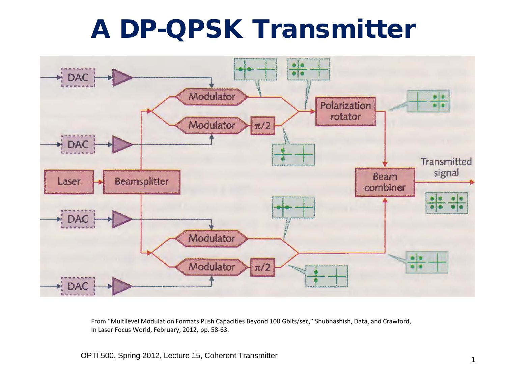# A DP-QPSK Transmitter



From "Multilevel Modulation Formats Push Capacities Beyond 100 Gbits/sec," Shubhashish, Data, and Crawford, In Laser Focus World, February, 2012, pp. 58-63.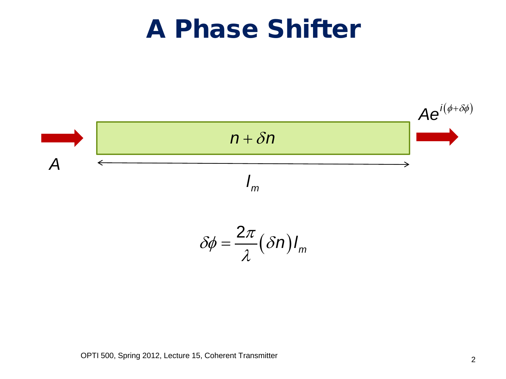#### A Phase Shifter



$$
\delta\phi = \frac{2\pi}{\lambda} (\delta n) I_m
$$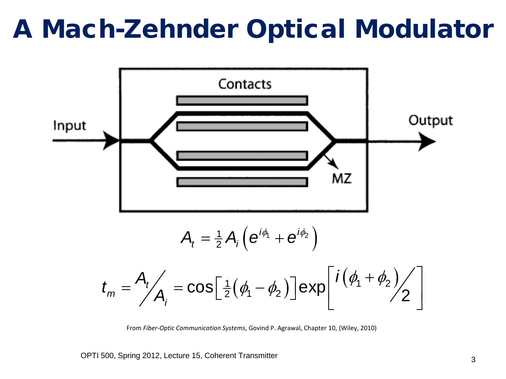### A Mach-Zehnder Optical Modulator



From *Fiber-Optic Communication Systems*, Govind P. Agrawal, Chapter 10, (Wiley, 2010)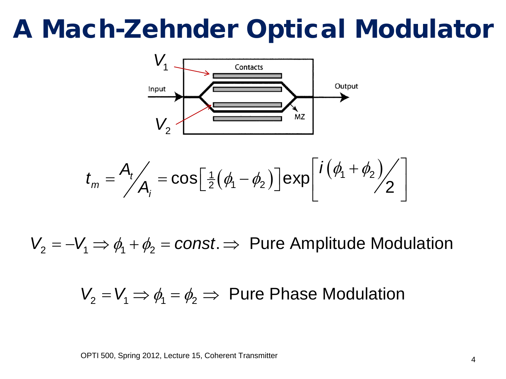# A Mach-Zehnder Optical Modulator



$$
t_m = \frac{A_t}{A_i} = \cos\left[\frac{1}{2}(\phi_1 - \phi_2)\right] \exp\left[\frac{i(\phi_1 + \phi_2)}{2}\right]
$$

 $V_2 = -V_1 \Rightarrow \phi_1 + \phi_2 = const. \Rightarrow$  Pure Amplitude Modulation

 $V_2 = V_1 \Rightarrow \phi_1 = \phi_2 \Rightarrow$  Pure Phase Modulation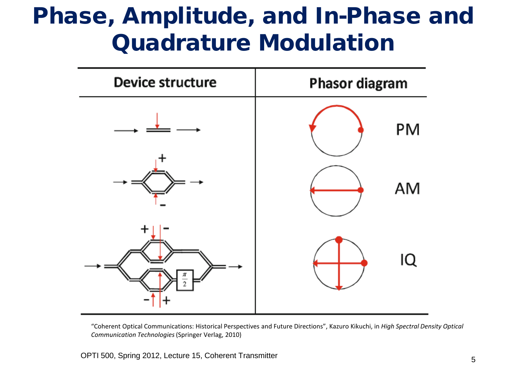#### Phase, Amplitude, and In-Phase and Quadrature Modulation



"Coherent Optical Communications: Historical Perspectives and Future Directions", Kazuro Kikuchi, in *High Spectral Density Optical Communication Technologies* (Springer Verlag, 2010)